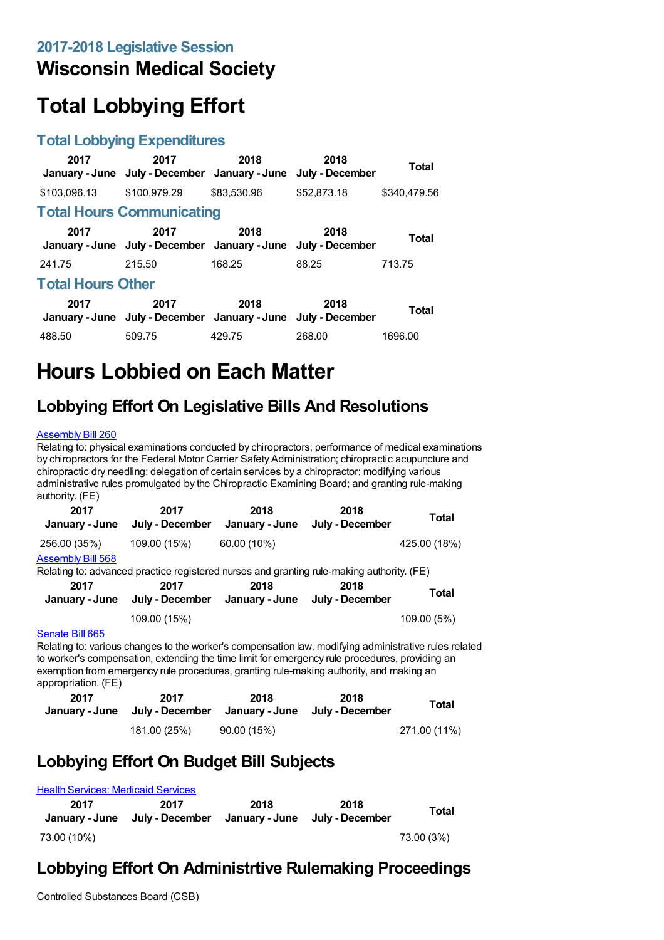## **Wisconsin Medical Society**

# **Total Lobbying Effort**

#### **Total Lobbying Expenditures**

| 2017                     | 2017<br>January - June July - December January - June July - December | 2018        | 2018        | Total        |  |
|--------------------------|-----------------------------------------------------------------------|-------------|-------------|--------------|--|
| \$103,096.13             | \$100.979.29                                                          | \$83,530.96 | \$52,873.18 | \$340,479.56 |  |
|                          | <b>Total Hours Communicating</b>                                      |             |             |              |  |
| 2017                     | 2017<br>January - June July - December January - June July - December | 2018        | 2018        | Total        |  |
| 241.75                   | 215.50                                                                | 168.25      | 88.25       | 713.75       |  |
| <b>Total Hours Other</b> |                                                                       |             |             |              |  |
| 2017                     | 2017<br>January - June July - December January - June July - December | 2018        | 2018        | <b>Total</b> |  |
| 488.50                   | 509.75                                                                | 429.75      | 268.00      | 1696.00      |  |

# **Hours Lobbied on Each Matter**

### **Lobbying Effort On Legislative Bills And Resolutions**

#### [Assembly](https://lobbying.wi.gov/What/BillInformation/2017REG/Information/14250?tab=Efforts) Bill 260

Relating to: physical examinations conducted by chiropractors; performance of medical examinations by chiropractors for the Federal Motor Carrier Safety Administration; chiropractic acupuncture and chiropractic dry needling; delegation of certain services by a chiropractor; modifying various administrative rules promulgated by the Chiropractic Examining Board; and granting rule-making authority. (FE)

| 2017<br>January - June   | 2017<br>July - December                                                                   | 2018<br>January - June | 2018<br>July - December | <b>Total</b> |
|--------------------------|-------------------------------------------------------------------------------------------|------------------------|-------------------------|--------------|
| 256.00 (35%)             | 109.00 (15%)                                                                              | 60.00 (10%)            |                         | 425.00 (18%) |
| <b>Assembly Bill 568</b> | Relating to: advanced practice registered nurses and granting rule-making authority. (FE) |                        |                         |              |
| 2017<br>January - June   | 2017<br>July - December                                                                   | 2018<br>January - June | 2018<br>July - December | Total        |
|                          | 109.00 (15%)                                                                              |                        |                         | 109.00 (5%)  |

#### [Senate](https://lobbying.wi.gov/What/BillInformation/2017REG/Information/15336?tab=Efforts) Bill 665

Relating to: various changes to the worker's compensation law, modifying administrative rules related to worker's compensation, extending the time limit for emergency rule procedures, providing an exemption from emergency rule procedures, granting rule-making authority, and making an appropriation. (FE)

| 2017 | 2017         | 2018<br>January - June July - December January - June July - December | 2018 | <b>Total</b> |
|------|--------------|-----------------------------------------------------------------------|------|--------------|
|      | 181.00 (25%) | 90.00 (15%)                                                           |      | 271.00 (11%) |

### **Lobbying Effort On Budget Bill Subjects**

| <b>Health Services: Medicaid Services</b> |                         |                        |                         |            |  |
|-------------------------------------------|-------------------------|------------------------|-------------------------|------------|--|
| 2017<br>January - June                    | 2017<br>July - December | 2018<br>January - June | 2018<br>July - December | Total      |  |
| 73.00 (10%)                               |                         |                        |                         | 73.00 (3%) |  |

### **Lobbying Effort On Administrtive Rulemaking Proceedings**

Controlled Substances Board (CSB)